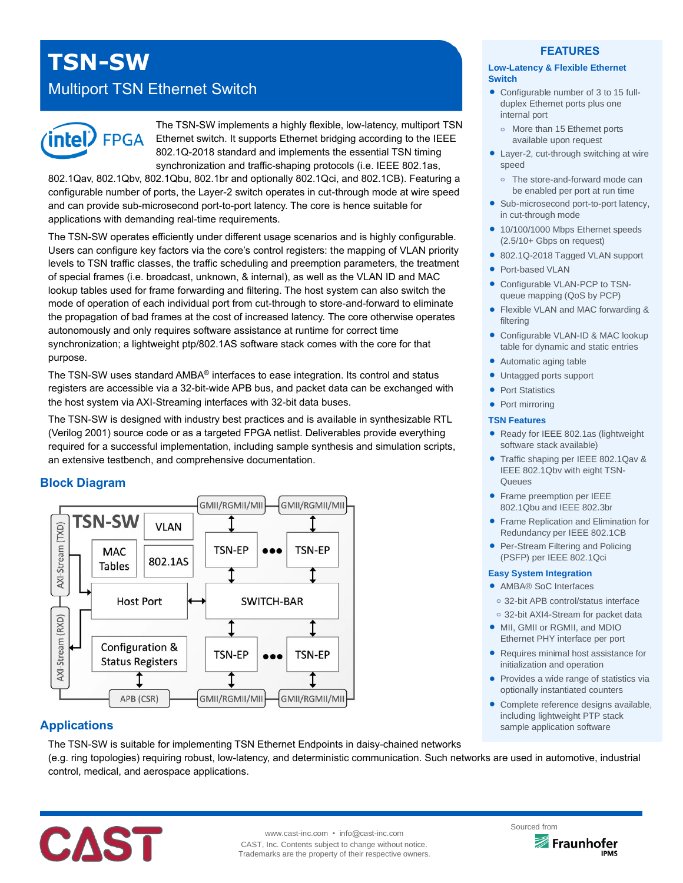# **TSN-SW**

# Multiport TSN Ethernet Switch



The TSN-SW implements a highly flexible, low-latency, multiport TSN Ethernet switch. It supports Ethernet bridging according to the IEEE 802.1Q-2018 standard and implements the essential TSN timing synchronization and traffic-shaping protocols (i.e. IEEE 802.1as,

802.1Qav, 802.1Qbv, 802.1Qbu, 802.1br and optionally 802.1Qci, and 802.1CB). Featuring a configurable number of ports, the Layer-2 switch operates in cut-through mode at wire speed and can provide sub-microsecond port-to-port latency. The core is hence suitable for applications with demanding real-time requirements.

The TSN-SW operates efficiently under different usage scenarios and is highly configurable. Users can configure key factors via the core's control registers: the mapping of VLAN priority levels to TSN traffic classes, the traffic scheduling and preemption parameters, the treatment of special frames (i.e. broadcast, unknown, & internal), as well as the VLAN ID and MAC lookup tables used for frame forwarding and filtering. The host system can also switch the mode of operation of each individual port from cut-through to store-and-forward to eliminate the propagation of bad frames at the cost of increased latency. The core otherwise operates autonomously and only requires software assistance at runtime for correct time synchronization; a lightweight ptp/802.1AS software stack comes with the core for that purpose.

The TSN-SW uses standard AMBA® interfaces to ease integration. Its control and status registers are accessible via a 32-bit-wide APB bus, and packet data can be exchanged with the host system via AXI-Streaming interfaces with 32-bit data buses.

The TSN-SW is designed with industry best practices and is available in synthesizable RTL (Verilog 2001) source code or as a targeted FPGA netlist. Deliverables provide everything required for a successful implementation, including sample synthesis and simulation scripts, an extensive testbench, and comprehensive documentation.

# **Block Diagram**



# **Applications**

The TSN-SW is suitable for implementing TSN Ethernet Endpoints in daisy-chained networks (e.g. ring topologies) requiring robust, low-latency, and deterministic communication. Such networks are used in automotive, industrial control, medical, and aerospace applications.



# **FEATURES**

#### **Low-Latency & Flexible Ethernet Switch**

- Configurable number of 3 to 15 fullduplex Ethernet ports plus one internal port
	- More than 15 Ethernet ports available upon request
- Layer-2, cut-through switching at wire speed
- **o** The store-and-forward mode can be enabled per port at run time
- Sub-microsecond port-to-port latency, in cut-through mode
- 10/100/1000 Mbps Ethernet speeds (2.5/10+ Gbps on request)
- 802.1Q-2018 Tagged VLAN support
- Port-based VLAN
- Configurable VLAN-PCP to TSNqueue mapping (QoS by PCP)
- Flexible VLAN and MAC forwarding & filtering
- Configurable VLAN-ID & MAC lookup table for dynamic and static entries
- Automatic aging table
- Untagged ports support
- Port Statistics
- Port mirroring

#### **TSN Features**

- Ready for IEEE 802.1as (lightweight software stack available)
- Traffic shaping per IEEE 802.1Qav & IEEE 802.1Qbv with eight TSN-**Queues**
- **•** Frame preemption per IEEE 802.1Qbu and IEEE 802.3br
- **Frame Replication and Elimination for** Redundancy per IEEE 802.1CB
- Per-Stream Filtering and Policing (PSFP) per IEEE 802.1Qci

#### **Easy System Integration**

- AMBA® SoC Interfaces
- **o** 32-bit APB control/status interface
- **o** 32-bit AXI4-Stream for packet data
- MII, GMII or RGMII, and MDIO Ethernet PHY interface per port
- Requires minimal host assistance for initialization and operation
- Provides a wide range of statistics via optionally instantiated counters
- Complete reference designs available, including lightweight PTP stack sample application software